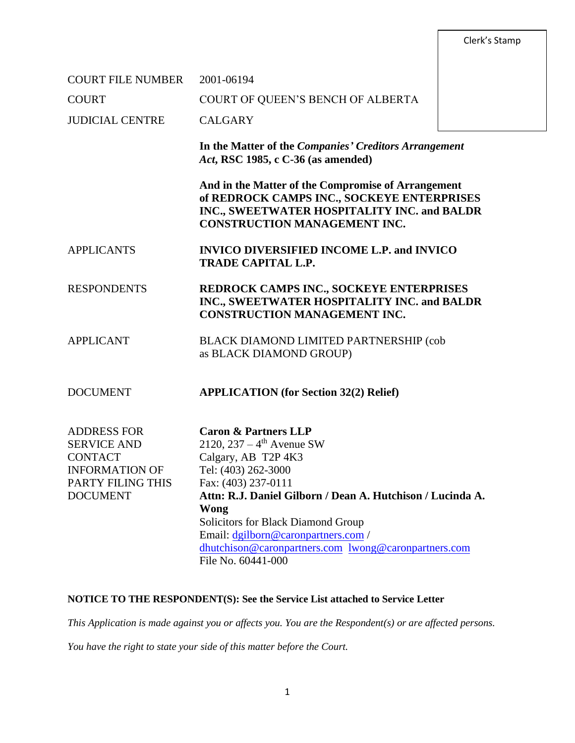Clerk's Stamp

| <b>COURT FILE NUMBER</b>                                                                                                    | 2001-06194                                                                                                                                                                                                                                                                                                                                                              |  |
|-----------------------------------------------------------------------------------------------------------------------------|-------------------------------------------------------------------------------------------------------------------------------------------------------------------------------------------------------------------------------------------------------------------------------------------------------------------------------------------------------------------------|--|
| <b>COURT</b>                                                                                                                | COURT OF QUEEN'S BENCH OF ALBERTA                                                                                                                                                                                                                                                                                                                                       |  |
| <b>JUDICIAL CENTRE</b>                                                                                                      | <b>CALGARY</b>                                                                                                                                                                                                                                                                                                                                                          |  |
|                                                                                                                             | In the Matter of the Companies' Creditors Arrangement<br>Act, RSC 1985, c C-36 (as amended)                                                                                                                                                                                                                                                                             |  |
|                                                                                                                             | And in the Matter of the Compromise of Arrangement<br>of REDROCK CAMPS INC., SOCKEYE ENTERPRISES<br>INC., SWEETWATER HOSPITALITY INC. and BALDR<br><b>CONSTRUCTION MANAGEMENT INC.</b>                                                                                                                                                                                  |  |
| <b>APPLICANTS</b>                                                                                                           | <b>INVICO DIVERSIFIED INCOME L.P. and INVICO</b><br><b>TRADE CAPITAL L.P.</b>                                                                                                                                                                                                                                                                                           |  |
| <b>RESPONDENTS</b>                                                                                                          | REDROCK CAMPS INC., SOCKEYE ENTERPRISES<br>INC., SWEETWATER HOSPITALITY INC. and BALDR<br><b>CONSTRUCTION MANAGEMENT INC.</b>                                                                                                                                                                                                                                           |  |
| <b>APPLICANT</b>                                                                                                            | BLACK DIAMOND LIMITED PARTNERSHIP (cob<br>as BLACK DIAMOND GROUP)                                                                                                                                                                                                                                                                                                       |  |
| <b>DOCUMENT</b>                                                                                                             | <b>APPLICATION</b> (for Section 32(2) Relief)                                                                                                                                                                                                                                                                                                                           |  |
| <b>ADDRESS FOR</b><br><b>SERVICE AND</b><br><b>CONTACT</b><br><b>INFORMATION OF</b><br>PARTY FILING THIS<br><b>DOCUMENT</b> | <b>Caron &amp; Partners LLP</b><br>2120, 237 – $4^{th}$ Avenue SW<br>Calgary, AB T2P 4K3<br>Tel: (403) 262-3000<br>Fax: (403) 237-0111<br>Attn: R.J. Daniel Gilborn / Dean A. Hutchison / Lucinda A.<br>Wong<br>Solicitors for Black Diamond Group<br>Email: dgilborn@caronpartners.com /<br>dhutchison@caronpartners.com lwong@caronpartners.com<br>File No. 60441-000 |  |

# **NOTICE TO THE RESPONDENT(S): See the Service List attached to Service Letter**

*This Application is made against you or affects you. You are the Respondent(s) or are affected persons.* 

*You have the right to state your side of this matter before the Court.*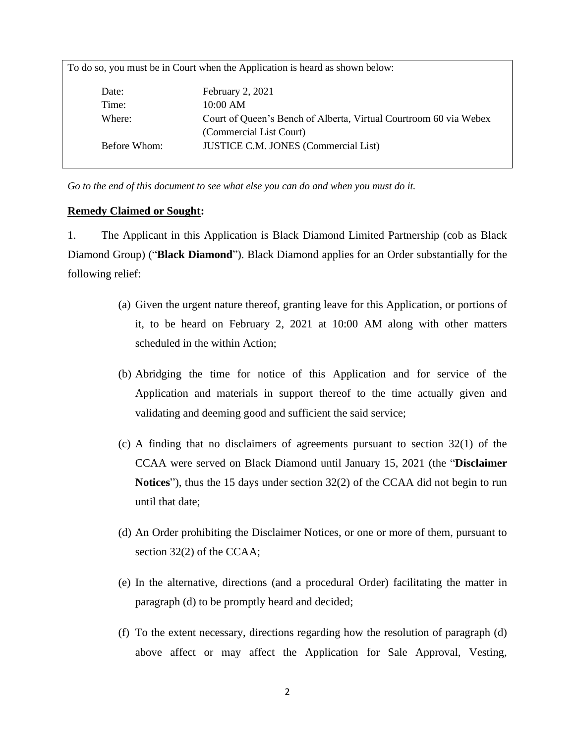| To do so, you must be in Court when the Application is heard as shown below: |                                                                   |  |
|------------------------------------------------------------------------------|-------------------------------------------------------------------|--|
| Date:                                                                        | February 2, 2021                                                  |  |
| Time:                                                                        | 10:00 AM                                                          |  |
| Where:                                                                       | Court of Queen's Bench of Alberta, Virtual Courtroom 60 via Webex |  |
|                                                                              | (Commercial List Court)                                           |  |
| Before Whom:                                                                 | <b>JUSTICE C.M. JONES (Commercial List)</b>                       |  |
|                                                                              |                                                                   |  |

*Go to the end of this document to see what else you can do and when you must do it.*

#### **Remedy Claimed or Sought:**

1. The Applicant in this Application is Black Diamond Limited Partnership (cob as Black Diamond Group) ("**Black Diamond**"). Black Diamond applies for an Order substantially for the following relief:

- (a) Given the urgent nature thereof, granting leave for this Application, or portions of it, to be heard on February 2, 2021 at 10:00 AM along with other matters scheduled in the within Action;
- (b) Abridging the time for notice of this Application and for service of the Application and materials in support thereof to the time actually given and validating and deeming good and sufficient the said service;
- (c) A finding that no disclaimers of agreements pursuant to section 32(1) of the CCAA were served on Black Diamond until January 15, 2021 (the "**Disclaimer Notices**"), thus the 15 days under section 32(2) of the CCAA did not begin to run until that date;
- (d) An Order prohibiting the Disclaimer Notices, or one or more of them, pursuant to section 32(2) of the CCAA;
- (e) In the alternative, directions (and a procedural Order) facilitating the matter in paragraph (d) to be promptly heard and decided;
- (f) To the extent necessary, directions regarding how the resolution of paragraph (d) above affect or may affect the Application for Sale Approval, Vesting,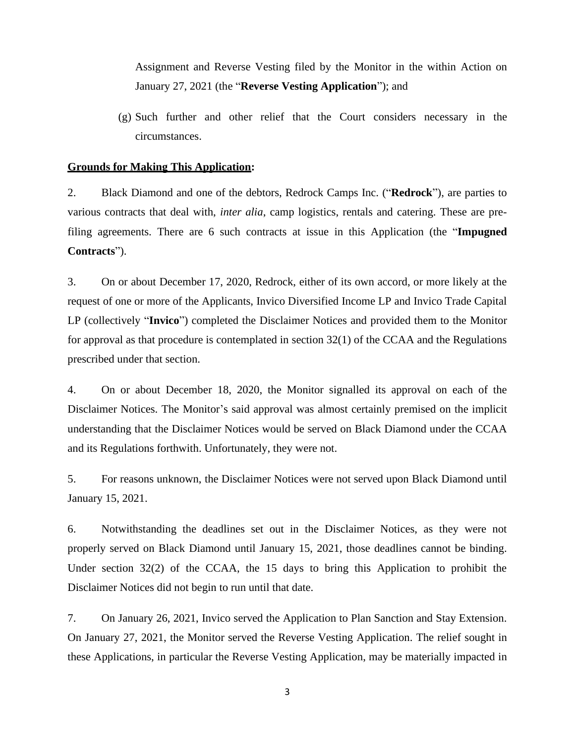Assignment and Reverse Vesting filed by the Monitor in the within Action on January 27, 2021 (the "**Reverse Vesting Application**"); and

(g) Such further and other relief that the Court considers necessary in the circumstances.

#### **Grounds for Making This Application:**

2. Black Diamond and one of the debtors, Redrock Camps Inc. ("**Redrock**"), are parties to various contracts that deal with, *inter alia*, camp logistics, rentals and catering. These are prefiling agreements. There are 6 such contracts at issue in this Application (the "**Impugned Contracts**").

3. On or about December 17, 2020, Redrock, either of its own accord, or more likely at the request of one or more of the Applicants, Invico Diversified Income LP and Invico Trade Capital LP (collectively "**Invico**") completed the Disclaimer Notices and provided them to the Monitor for approval as that procedure is contemplated in section 32(1) of the CCAA and the Regulations prescribed under that section.

4. On or about December 18, 2020, the Monitor signalled its approval on each of the Disclaimer Notices. The Monitor's said approval was almost certainly premised on the implicit understanding that the Disclaimer Notices would be served on Black Diamond under the CCAA and its Regulations forthwith. Unfortunately, they were not.

5. For reasons unknown, the Disclaimer Notices were not served upon Black Diamond until January 15, 2021.

6. Notwithstanding the deadlines set out in the Disclaimer Notices, as they were not properly served on Black Diamond until January 15, 2021, those deadlines cannot be binding. Under section 32(2) of the CCAA, the 15 days to bring this Application to prohibit the Disclaimer Notices did not begin to run until that date.

7. On January 26, 2021, Invico served the Application to Plan Sanction and Stay Extension. On January 27, 2021, the Monitor served the Reverse Vesting Application. The relief sought in these Applications, in particular the Reverse Vesting Application, may be materially impacted in

3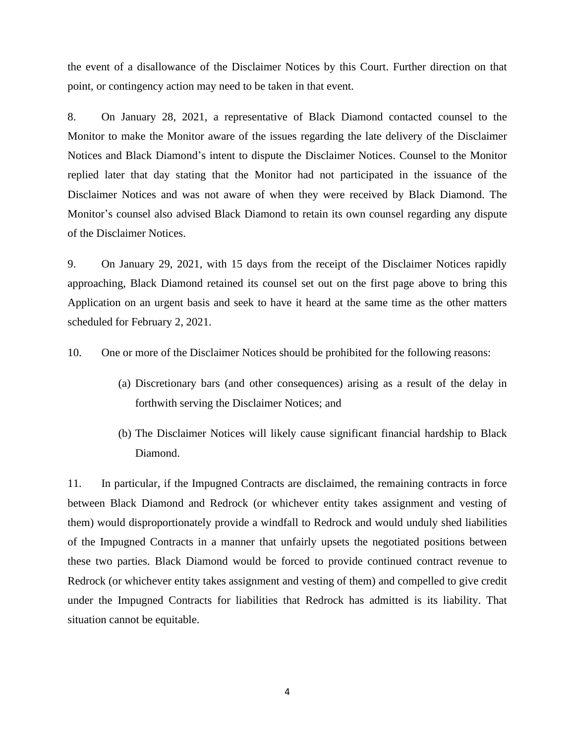the event of a disallowance of the Disclaimer Notices by this Court. Further direction on that point, or contingency action may need to be taken in that event.

8. On January 28, 2021, a representative of Black Diamond contacted counsel to the Monitor to make the Monitor aware of the issues regarding the late delivery of the Disclaimer Notices and Black Diamond's intent to dispute the Disclaimer Notices. Counsel to the Monitor replied later that day stating that the Monitor had not participated in the issuance of the Disclaimer Notices and was not aware of when they were received by Black Diamond. The Monitor's counsel also advised Black Diamond to retain its own counsel regarding any dispute of the Disclaimer Notices.

9. On January 29, 2021, with 15 days from the receipt of the Disclaimer Notices rapidly approaching, Black Diamond retained its counsel set out on the first page above to bring this Application on an urgent basis and seek to have it heard at the same time as the other matters scheduled for February 2, 2021.

10. One or more of the Disclaimer Notices should be prohibited for the following reasons:

- (a) Discretionary bars (and other consequences) arising as a result of the delay in forthwith serving the Disclaimer Notices; and
- (b) The Disclaimer Notices will likely cause significant financial hardship to Black Diamond.

11. In particular, if the Impugned Contracts are disclaimed, the remaining contracts in force between Black Diamond and Redrock (or whichever entity takes assignment and vesting of them) would disproportionately provide a windfall to Redrock and would unduly shed liabilities of the Impugned Contracts in a manner that unfairly upsets the negotiated positions between these two parties. Black Diamond would be forced to provide continued contract revenue to Redrock (or whichever entity takes assignment and vesting of them) and compelled to give credit under the Impugned Contracts for liabilities that Redrock has admitted is its liability. That situation cannot be equitable.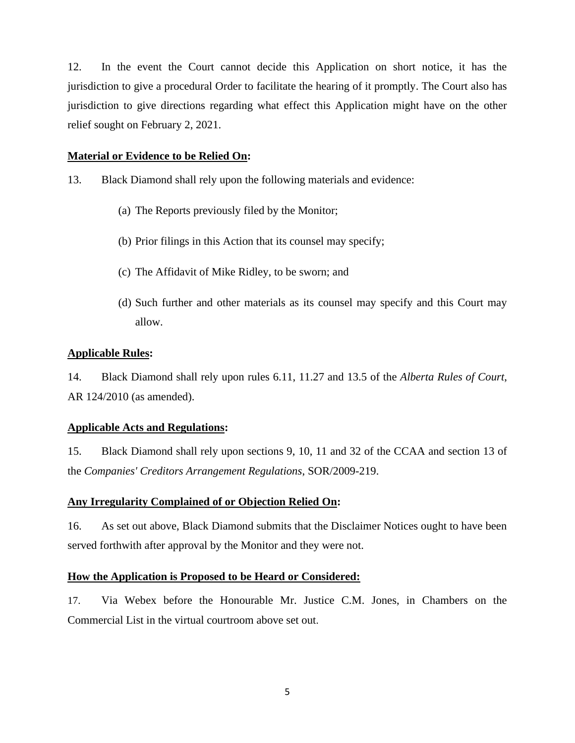12. In the event the Court cannot decide this Application on short notice, it has the jurisdiction to give a procedural Order to facilitate the hearing of it promptly. The Court also has jurisdiction to give directions regarding what effect this Application might have on the other relief sought on February 2, 2021.

# **Material or Evidence to be Relied On:**

- 13. Black Diamond shall rely upon the following materials and evidence:
	- (a) The Reports previously filed by the Monitor;
	- (b) Prior filings in this Action that its counsel may specify;
	- (c) The Affidavit of Mike Ridley, to be sworn; and
	- (d) Such further and other materials as its counsel may specify and this Court may allow.

# **Applicable Rules:**

14. Black Diamond shall rely upon rules 6.11, 11.27 and 13.5 of the *Alberta Rules of Court*, AR 124/2010 (as amended).

# **Applicable Acts and Regulations:**

15. Black Diamond shall rely upon sections 9, 10, 11 and 32 of the CCAA and section 13 of the *Companies' Creditors Arrangement Regulations*, SOR/2009-219.

# **Any Irregularity Complained of or Objection Relied On:**

16. As set out above, Black Diamond submits that the Disclaimer Notices ought to have been served forthwith after approval by the Monitor and they were not.

# **How the Application is Proposed to be Heard or Considered:**

17. Via Webex before the Honourable Mr. Justice C.M. Jones, in Chambers on the Commercial List in the virtual courtroom above set out.